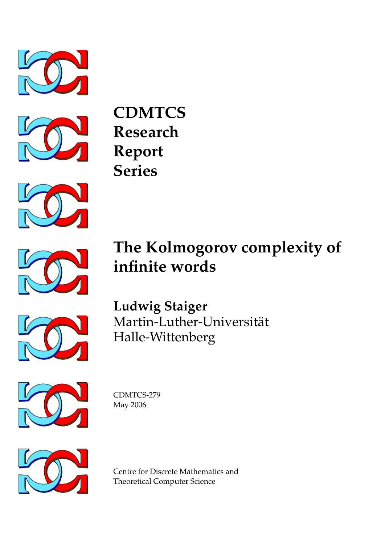



**CDMTCS Research Report Series**



# **The Kolmogorov complexity of infinite words**



**Ludwig Staiger** Martin-Luther-Universitat¨ Halle-Wittenberg



CDMTCS-279 May 2006



Centre for Discrete Mathematics and Theoretical Computer Science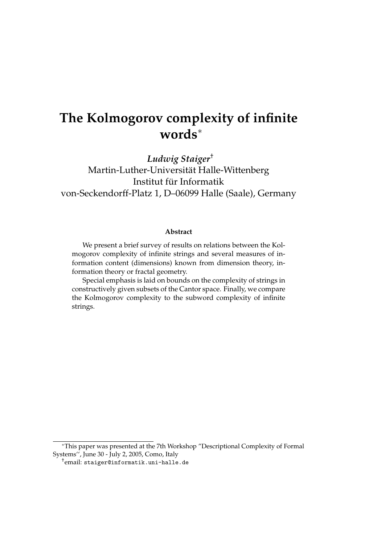# **The Kolmogorov complexity of infinite words**<sup>∗</sup>

*Ludwig Staiger*† Martin-Luther-Universitat Halle-Wittenberg ¨ Institut für Informatik von-Seckendorff-Platz 1, D–06099 Halle (Saale), Germany

#### **Abstract**

We present a brief survey of results on relations between the Kolmogorov complexity of infinite strings and several measures of information content (dimensions) known from dimension theory, information theory or fractal geometry.

Special emphasis is laid on bounds on the complexity of strings in constructively given subsets of the Cantor space. Finally, we compare the Kolmogorov complexity to the subword complexity of infinite strings.

<sup>∗</sup>This paper was presented at the 7th Workshop "Descriptional Complexity of Formal Systems", June 30 - July 2, 2005, Como, Italy

<sup>†</sup> email: staiger@informatik.uni-halle.de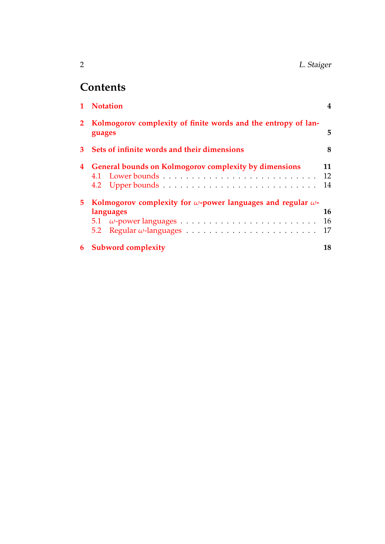| n | L. Staiger |
|---|------------|
|---|------------|

# **Contents**

|    | 1 Notation                                                                              |                |
|----|-----------------------------------------------------------------------------------------|----------------|
|    | 2 Kolmogorov complexity of finite words and the entropy of lan-<br>guages               | 5              |
| 3  | Sets of infinite words and their dimensions                                             | 8              |
| 4  | <b>General bounds on Kolmogorov complexity by dimensions</b>                            | 11<br>12<br>14 |
| 5. | Kolmogorov complexity for $\omega$ -power languages and regular $\omega$ -<br>languages | 16<br>16<br>17 |
| 6  | <b>Subword complexity</b>                                                               | 18             |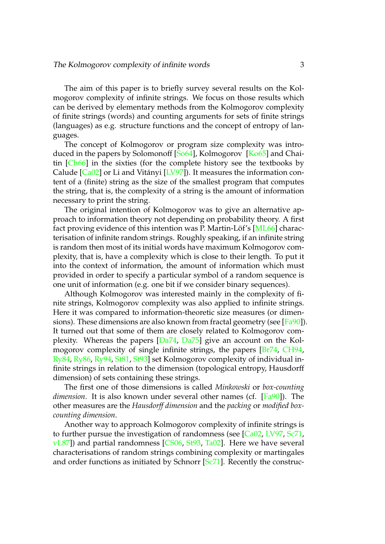The aim of this paper is to briefly survey several results on the Kolmogorov complexity of infinite strings. We focus on those results which can be derived by elementary methods from the Kolmogorov complexity of finite strings (words) and counting arguments for sets of finite strings (languages) as e.g. structure functions and the concept of entropy of languages.

The concept of Kolmogorov or program size complexity was introduced in the papers by Solomonoff [\[So64\]](#page-22-0), Kolmogorov [\[Ko65\]](#page-21-0) and Chaitin [\[Ch66\]](#page-21-1) in the sixties (for the complete history see the textbooks by Calude  $[Ca02]$  or Li and Vitányi  $[LV97]$  $[LV97]$ ). It measures the information content of a (finite) string as the size of the smallest program that computes the string, that is, the complexity of a string is the amount of information necessary to print the string.

The original intention of Kolmogorov was to give an alternative approach to information theory not depending on probability theory. A first fact proving evidence of this intention was P. Martin-Löf's  $[ML66]$  $[ML66]$  characterisation of infinite random strings. Roughly speaking, if an infinite string is random then most of its initial words have maximum Kolmogorov complexity, that is, have a complexity which is close to their length. To put it into the context of information, the amount of information which must provided in order to specify a particular symbol of a random sequence is one unit of information (e.g. one bit if we consider binary sequences).

Although Kolmogorov was interested mainly in the complexity of finite strings, Kolmogorov complexity was also applied to infinite strings. Here it was compared to information-theoretic size measures (or dimensions). These dimensions are also known from fractal geometry (see  $[Fa90]$ ). It turned out that some of them are closely related to Kolmogorov complexity. Whereas the papers [\[Da74,](#page-21-5) [Da75\]](#page-21-6) give an account on the Kolmogorov complexity of single infinite strings, the papers [\[Br74,](#page-20-0) [CH94,](#page-21-7) [Ry84,](#page-22-2) [Ry86,](#page-22-3) [Ry94,](#page-22-4) [St81,](#page-22-5) [St93\]](#page-23-0) set Kolmogorov complexity of individual infinite strings in relation to the dimension (topological entropy, Hausdorff dimension) of sets containing these strings.

The first one of those dimensions is called *Minkowski* or *box-counting dimension*. It is also known under several other names (cf. [\[Fa90\]](#page-21-4)). The other measures are the *Hausdorff dimension* and the *packing* or *modified boxcounting dimension*.

Another way to approach Kolmogorov complexity of infinite strings is to further pursue the investigation of randomness (see [\[Ca02,](#page-21-2) [LV97,](#page-21-3) [Sc71,](#page-22-6) [vL87\]](#page-23-1)) and partial randomness [\[CS06,](#page-21-8) [St93,](#page-23-0) [Ta02\]](#page-23-2). Here we have several characterisations of random strings combining complexity or martingales and order functions as initiated by Schnorr [\[Sc71\]](#page-22-6). Recently the construc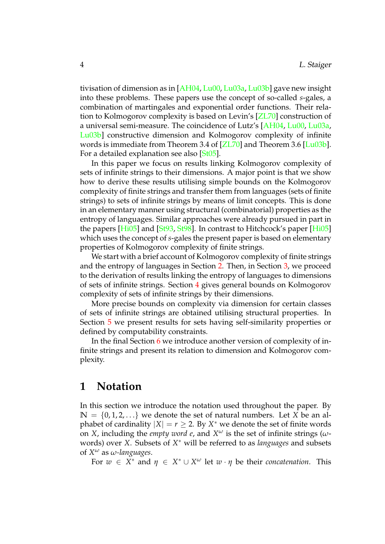tivisation of dimension as in [\[AH04,](#page-20-1) [Lu00,](#page-22-7) [Lu03a,](#page-22-8) [Lu03b\]](#page-22-9) gave new insight into these problems. These papers use the concept of so-called *s*-gales, a combination of martingales and exponential order functions. Their relation to Kolmogorov complexity is based on Levin's [\[ZL70\]](#page-23-3) construction of a universal semi-measure. The coincidence of Lutz's [\[AH04,](#page-20-1) [Lu00,](#page-22-7) [Lu03a,](#page-22-8) [Lu03b\]](#page-22-9) constructive dimension and Kolmogorov complexity of infinite words is immediate from Theorem 3.4 of [\[ZL70\]](#page-23-3) and Theorem 3.6 [\[Lu03b\]](#page-22-9). For a detailed explanation see also [\[St05\]](#page-23-4).

In this paper we focus on results linking Kolmogorov complexity of sets of infinite strings to their dimensions. A major point is that we show how to derive these results utilising simple bounds on the Kolmogorov complexity of finite strings and transfer them from languages (sets of finite strings) to sets of infinite strings by means of limit concepts. This is done in an elementary manner using structural (combinatorial) properties as the entropy of languages. Similar approaches were already pursued in part in the papers  $[Hi05]$  and  $[St93, St98]$  $[St93, St98]$  $[St93, St98]$ . In contrast to Hitchcock's paper  $[Hi05]$ which uses the concept of *s*-gales the present paper is based on elementary properties of Kolmogorov complexity of finite strings.

We start with a brief account of Kolmogorov complexity of finite strings and the entropy of languages in Section [2.](#page-5-0) Then, in Section [3,](#page-8-0) we proceed to the derivation of results linking the entropy of languages to dimensions of sets of infinite strings. Section [4](#page-11-0) gives general bounds on Kolmogorov complexity of sets of infinite strings by their dimensions.

More precise bounds on complexity via dimension for certain classes of sets of infinite strings are obtained utilising structural properties. In Section [5](#page-16-0) we present results for sets having self-similarity properties or defined by computability constraints.

In the final Section [6](#page-18-0) we introduce another version of complexity of infinite strings and present its relation to dimension and Kolmogorov complexity.

### <span id="page-4-0"></span>**1 Notation**

In this section we introduce the notation used throughout the paper. By  $\mathbb{N} = \{0, 1, 2, \ldots\}$  we denote the set of natural numbers. Let *X* be an alphabet of cardinality  $|X| = r \geq 2$ . By  $X^*$  we denote the set of finite words on *X*, including the *empty word e*, and  $X^{\omega}$  is the set of infinite strings ( $\omega$ words) over *X*. Subsets of *X* <sup>∗</sup> will be referred to as *languages* and subsets of *X <sup>ω</sup>* as *ω-languages*.

For  $w \in X^*$  and  $\eta \in X^* \cup X^{\omega}$  let  $w \cdot \eta$  be their *concatenation*. This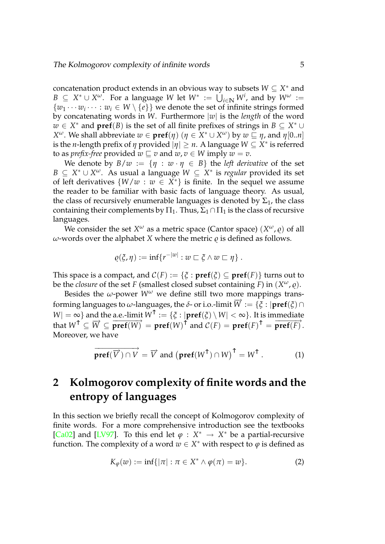concatenation product extends in an obvious way to subsets *W* ⊆ *X* <sup>∗</sup> and *B* ⊆  $X^* \cup X^{\omega}$ . For a language *W* let  $W^* := \bigcup_{i \in \mathbb{N}} W^i$ , and by  $W^{\omega} :=$  $\{w_1 \cdots w_i \cdots : w_i \in W \setminus \{e\}\}\$  we denote the set of infinite strings formed by concatenating words in *W*. Furthermore |*w*| is the *length* of the word *w* ∈ *X*<sup>\*</sup> and **pref**(*B*) is the set of all finite prefixes of strings in *B* ⊆ *X*<sup>\*</sup> ∪ *X*<sup>ω</sup>. We shall abbreviate *w* ∈ **pref**(*η*) (*η* ∈  $\tilde{X}^* \cup X^ω$ ) by  $w \sqsubseteq \eta$ , and  $\eta$ [0..*n*] is the *n*-length prefix of  $\eta$  provided  $|\eta| \geq n$ . A language  $W \subseteq X^*$  is referred to as *prefix-free* provided  $w \sqsubseteq v$  and  $w, v \in W$  imply  $w = v$ .

We denote by  $B/w := \{ \eta : w \cdot \eta \in B \}$  the *left derivative* of the set *B* ⊆ *X*<sup>\*</sup> ∪ *X<sup>ω</sup>*. As usual a language  $W ⊆ X^*$  is *regular* provided its set of left derivatives  $\{W/w : w \in X^*\}$  is finite. In the sequel we assume the reader to be familiar with basic facts of language theory. As usual, the class of recursively enumerable languages is denoted by  $\Sigma_1$ , the class containing their complements by  $\Pi_1$ . Thus,  $\Sigma_1 \cap \Pi_1$  is the class of recursive languages.

We consider the set  $X^\omega$  as a metric space (Cantor space)  $(X^\omega,\varrho)$  of all *ω*-words over the alphabet *X* where the metric  $ρ$  is defined as follows.

$$
\varrho(\xi,\eta):=\inf\{r^{-|w|}:w\sqsubset \xi\wedge w\sqsubset \eta\}.
$$

This space is a compact, and  $C(F) := \{ \xi : \textbf{pref}(\xi) \subseteq \textbf{pref}(F) \}$  turns out to be the *closure* of the set *F* (smallest closed subset containing *F*) in  $(X^{\omega}, \varrho)$ .

Besides the  $\omega$ -power  $W^{\omega}$  we define still two more mappings transforming languages to  $\omega$ -languages, the  $\delta$ - or i.o.-limit  $\overrightarrow{W} := \{\xi : |pref(\xi) \cap$  $W| = \infty$ } and the a.e.-limit  $W^{\uparrow} := {\{\xi : |pref(\xi) \setminus W| < \infty\}}$ . It is immediate that  $W^{\uparrow} \subseteq \overline{W} \subseteq \overline{\textbf{pref}(W)}^{\uparrow} = \textbf{pref}(W)^{\uparrow}$  and  $C(F) = \textbf{pref}(F)^{\uparrow} = \overline{\textbf{pref}(F)}^{\downarrow}$ . Moreover, we have

$$
\overrightarrow{\mathbf{pref}(\overrightarrow{V})\cap V}=\overrightarrow{V} \text{ and } \left(\mathbf{pref}(W^{\uparrow})\cap W\right)^{\uparrow}=W^{\uparrow}.
$$
 (1)

# <span id="page-5-0"></span>**2 Kolmogorov complexity of finite words and the entropy of languages**

In this section we briefly recall the concept of Kolmogorov complexity of finite words. For a more comprehensive introduction see the textbooks [\[Ca02\]](#page-21-2) and [\[LV97\]](#page-21-3). To this end let  $\varphi : X^* \to X^*$  be a partial-recursive function. The complexity of a word  $w \in X^*$  with respect to  $\varphi$  is defined as

$$
K_{\varphi}(w) := \inf\{|\pi| : \pi \in X^* \wedge \varphi(\pi) = w\}.
$$
 (2)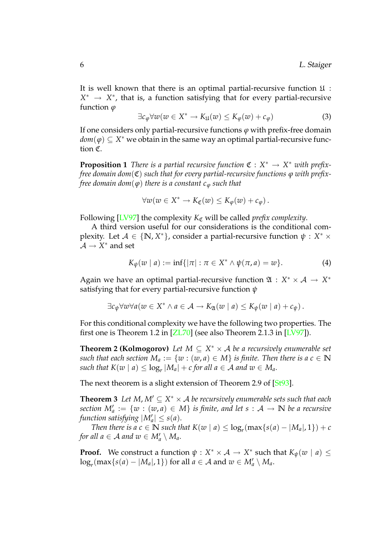It is well known that there is an optimal partial-recursive function  $\mathfrak{U}$ : *X*<sup>\*</sup> → *X*<sup>\*</sup>, that is, a function satisfying that for every partial-recursive function *ϕ*

$$
\exists c_{\varphi} \forall w (w \in X^* \to K_{\mathfrak{U}}(w) \leq K_{\varphi}(w) + c_{\varphi}) \tag{3}
$$

If one considers only partial-recursive functions  $\varphi$  with prefix-free domain  $\mathit{dom}(\varphi) \subseteq X^*$  we obtain in the same way an optimal partial-recursive function C.

**Proposition 1** *There is a partial recursive function*  $\mathfrak{C}: X^* \to X^*$  *with prefixfree domain dom*(C) *such that for every partial-recursive functions ϕ with prefixfree domain dom*( $\varphi$ ) *there is a constant*  $c_{\varphi}$  *such that* 

$$
\forall w(w \in X^* \to K_{\mathfrak{C}}(w) \leq K_{\varphi}(w) + c_{\varphi}).
$$

Following  $[LV97]$  the complexity  $K_{\mathfrak{C}}$  will be called *prefix complexity*.

A third version useful for our considerations is the conditional complexity. Let  $A \in \{N, X^*\}$ , consider a partial-recursive function  $\psi : X^* \times Y^*$  $\mathcal{A} \to X^*$  and set

<span id="page-6-0"></span>
$$
K_{\psi}(w \mid a) := \inf\{|\pi| : \pi \in X^* \wedge \psi(\pi, a) = w\}.
$$
 (4)

Again we have an optimal partial-recursive function  $\mathfrak{A} : X^* \times \mathcal{A} \rightarrow X^*$ satisfying that for every partial-recursive function *ψ*

<span id="page-6-1"></span>
$$
\exists c_{\psi} \forall w \forall a (w \in X^* \land a \in \mathcal{A} \rightarrow K_{\mathfrak{A}}(w \mid a) \leq K_{\psi}(w \mid a) + c_{\psi}).
$$

For this conditional complexity we have the following two properties. The first one is Theorem 1.2 in [\[ZL70\]](#page-23-3) (see also Theorem 2.1.3 in [\[LV97\]](#page-21-3)).

**Theorem 2 (Kolmogorov)** Let  $M \subseteq X^* \times A$  be a recursively enumerable set *such that each section*  $M_a := \{w : (w, a) \in M\}$  *is finite. Then there is a*  $c \in \mathbb{N}$  $\mathcal{L}$  *such that*  $K(w \mid a) \leq \log_r |M_a| + c$  for all  $a \in \mathcal{A}$  and  $w \in M_a$ .

The next theorem is a slight extension of Theorem 2.9 of [\[St93\]](#page-23-0).

**Theorem 3** Let M,  $M' \subseteq X^* \times A$  be recursively enumerable sets such that each  $\mathit{section}\ M'_a := \{w : (w, a) \in M\}$  *is finite, and let*  $s : \mathcal{A} \to \mathbb{N}$  *be a recursive function satisfying*  $|M'_a| \leq s(a)$ *.* 

*Then there is a*  $c \in \mathbb{N}$  *such that*  $K(w \mid a) \leq \log_r(\max\{s(a) - |M_a|, 1\}) + c$ *for all a*  $\in$  *A and*  $w \in M'_a \setminus M_a$ .

**Proof.** We construct a function  $\psi: X^* \times \mathcal{A} \rightarrow X^*$  such that  $K_{\psi}(w \mid a) \leq$  $\log_r(\max\{s(a) - |M_a|, 1\})$  for all  $a \in \mathcal{A}$  and  $w \in M'_a \setminus M_a$ .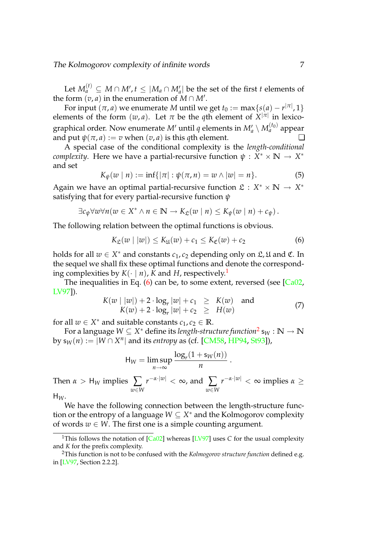Let  $M_a^{(t)} \subseteq M \cap M'$ ,  $t \leq |M_a \cap M'_a|$  be the set of the first *t* elements of the form  $(v, a)$  in the enumeration of  $M \cap M'$ .

For input  $(\pi, a)$  we enumerate  $M$  until we get  $t_0 := \max\{s(a) - r^{|\pi|}, 1\}$ elements of the form  $(w, a)$ . Let  $\pi$  be the *q*th element of  $X^{|\pi|}$  in lexicographical order. Now enumerate  $M'$  until  $q$  elements in  $M'_a \setminus M_a^{(t_0)}$  appear and put  $\psi(\pi, a) := v$  when  $(v, a)$  is this *q*th element.

A special case of the conditional complexity is the *length-conditional complexity*. Here we have a partial-recursive function  $ψ : X^* × \mathbb{N} → X^*$ and set

$$
K_{\psi}(w \mid n) := \inf\{|\pi| : \psi(\pi, n) = w \land |w| = n\}.
$$
 (5)

Again we have an optimal partial-recursive function  $\mathfrak{L}: X^* \times \mathbb{N} \to X^*$ satisfying that for every partial-recursive function *ψ*

$$
\exists c_{\psi} \forall w \forall n (w \in X^* \land n \in \mathbb{N} \to K_{\mathfrak{L}}(w \mid n) \leq K_{\psi}(w \mid n) + c_{\psi}).
$$

The following relation between the optimal functions is obvious.

<span id="page-7-1"></span>
$$
K_{\mathfrak{L}}(w \mid |w|) \leq K_{\mathfrak{U}}(w) + c_1 \leq K_{\mathfrak{C}}(w) + c_2 \tag{6}
$$

holds for all  $w \in X^*$  and constants  $c_1, c_2$  depending only on  $\mathfrak{L}, \mathfrak{U}$  and  $\mathfrak{C}$ . In the sequel we shall fix these optimal functions and denote the corresponding complexities by  $K(\cdot | n)$ , *K* and *H*, respectively.<sup>[1](#page-7-0)</sup>

The inequalities in Eq.  $(6)$  can be, to some extent, reversed (see  $\sqrt{CaO2}$ , [LV97\]](#page-21-3)).

$$
K(w \mid |w|) + 2 \cdot \log_r |w| + c_1 \geq K(w) \text{ and}
$$
  
\n
$$
K(w) + 2 \cdot \log_r |w| + c_2 \geq H(w)
$$
\n(7)

<span id="page-7-3"></span>.

for all  $w \in X^*$  and suitable constants  $c_1, c_2 \in \mathbb{R}$ .

For a language  $W \subseteq X^*$  define its *length-structure function*<sup>[2](#page-7-2)</sup> s $_W: \mathbb{N} \rightarrow \mathbb{N}$ by  $s_W(n) := |W \cap X^n|$  and its *entropy* as (cf. [\[CM58,](#page-21-10) [HP94,](#page-21-11) [St93\]](#page-23-0)),

$$
H_W = \limsup_{n \to \infty} \frac{\log_r(1 + s_W(n))}{n}
$$

Then  $\alpha > H_W$  implies  $\sum$ *w*∈*W r* <sup>−</sup>*α*·|*w*<sup>|</sup> <sup>&</sup>lt; <sup>∞</sup>, and ∑ *w*∈*W r* <sup>−</sup>*α*·|*w*<sup>|</sup> < ∞ implies *α* ≥

 $H_W$ .

We have the following connection between the length-structure function or the entropy of a language *W* ⊆ *X* <sup>∗</sup> and the Kolmogorov complexity of words  $w \in W$ . The first one is a simple counting argument.

<span id="page-7-0"></span><sup>&</sup>lt;sup>1</sup>This follows the notation of [\[Ca02\]](#page-21-2) whereas [\[LV97\]](#page-21-3) uses *C* for the usual complexity and *K* for the prefix complexity.

<span id="page-7-2"></span><sup>2</sup>This function is not to be confused with the *Kolmogorov structure function* defined e.g. in [\[LV97,](#page-21-3) Section 2.2.2].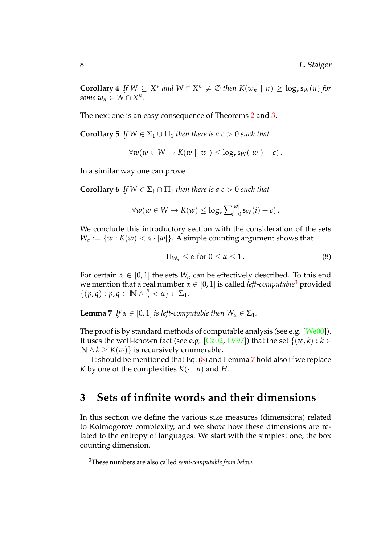**Corollary 4** If  $W \subseteq X^*$  and  $W \cap X^n \neq \emptyset$  then  $K(w_n \mid n) \geq \log_r s_W(n)$  for *some*  $w_n \in W \cap X^n$ .

The next one is an easy consequence of Theorems [2](#page-6-0) and [3.](#page-6-1)

**Corollary 5** *If*  $W \in \Sigma_1 \cup \Pi_1$  *then there is a c* > 0 *such that* 

<span id="page-8-5"></span><span id="page-8-4"></span>
$$
\forall w(w \in W \rightarrow K(w \mid |w|) \leq \log_r s_W(|w|) + c).
$$

In a similar way one can prove

**Corollary 6** *If*  $W \in \Sigma_1 \cap \Pi_1$  *then there is a c* > 0 *such that* 

$$
\forall w (w \in W \to K(w) \leq \log_r \sum_{i=0}^{|w|} \mathsf{s}_W(i) + c).
$$

We conclude this introductory section with the consideration of the sets  $W_{\alpha} := \{w : K(w) < \alpha \cdot |w|\}.$  A simple counting argument shows that

<span id="page-8-3"></span><span id="page-8-2"></span>
$$
H_{W_{\alpha}} \leq \alpha \text{ for } 0 \leq \alpha \leq 1. \tag{8}
$$

For certain  $\alpha \in [0,1]$  the sets  $W_\alpha$  can be effectively described. To this end we mention that a real number  $\alpha \in [0,1]$  is called *left-computable*<sup>[3](#page-8-1)</sup> provided  $\{(p,q): p,q \in \mathbb{N} \wedge \frac{p}{q} < \alpha\} \in \Sigma_1.$ 

**Lemma 7** *If*  $\alpha \in [0, 1]$  *is left-computable then*  $W_{\alpha} \in \Sigma_1$ *.* 

The proof is by standard methods of computable analysis (see e.g. [\[We00\]](#page-23-6)). It uses the well-known fact (see e.g. [\[Ca02,](#page-21-2) [LV97\]](#page-21-3)) that the set  $\{(w, k) : k \in$  $\mathbb{N} \land k \geq K(w)$ } is recursively enumerable.

It should be mentioned that Eq. [\(8\)](#page-8-2) and Lemma [7](#page-8-3) hold also if we replace *K* by one of the complexities  $K(\cdot | n)$  and *H*.

### <span id="page-8-0"></span>**3 Sets of infinite words and their dimensions**

In this section we define the various size measures (dimensions) related to Kolmogorov complexity, and we show how these dimensions are related to the entropy of languages. We start with the simplest one, the box counting dimension.

<span id="page-8-1"></span><sup>3</sup>These numbers are also called *semi-computable from below*.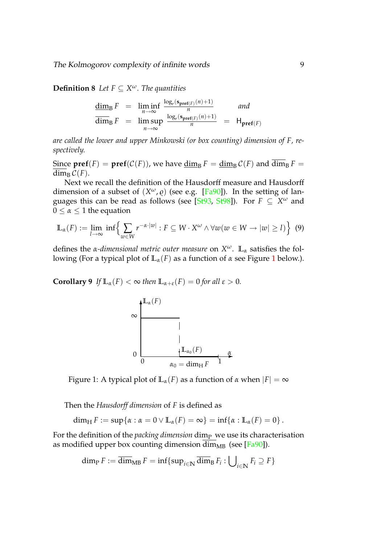The Kolmogorov complexity of infinite words 9

**Definition 8** Let  $F \subseteq X^{\omega}$ . The quantities

$$
\frac{\dim_{\mathrm{B}} F}{\dim_{\mathrm{B}} F} = \liminf_{n \to \infty} \frac{\frac{\log_{r}(\mathbf{s}_{\mathbf{pref}(F)}(n)+1)}{n}}{\frac{\log_{r}(\mathbf{s}_{\mathbf{pref}(F)}(n)+1)}{n}} = \mathsf{H}_{\mathbf{pref}(F)}
$$

*are called the lower and upper Minkowski (or box counting) dimension of F, respectively.*

Since  $\text{pref}(F) = \text{pref}(\mathcal{C}(F))$ , we have  $\dim_\text{B} F = \dim_\text{B} \mathcal{C}(F)$  and  $\dim_\text{B} F =$  $\overline{\dim}_{\mathrm{B}} C(F)$ .

Next we recall the definition of the Hausdorff measure and Hausdorff dimension of a subset of  $(X^{\omega}, \varrho)$  (see e.g. [\[Fa90\]](#page-21-4)). In the setting of languages this can be read as follows (see [\[St93,](#page-23-0) [St98\]](#page-23-5)). For *F* ⊆ *X <sup>ω</sup>* and  $0 \leq \alpha \leq 1$  the equation

<span id="page-9-1"></span>
$$
\mathbb{L}_{\alpha}(F) := \lim_{l \to \infty} \inf \left\{ \sum_{w \in W} r^{-\alpha \cdot |w|} : F \subseteq W \cdot X^{\omega} \wedge \forall w (w \in W \to |w| \ge l) \right\} \tag{9}
$$

defines the *α-dimensional metric outer measure* on *X <sup>ω</sup>*. **L***<sup>α</sup>* satisfies the following (For a typical plot of **L***α*(*F*) as a function of *α* see Figure [1](#page-9-0) below.).

**Corollary 9** *If*  $\mathbb{L}_{\alpha}(F) < \infty$  *then*  $\mathbb{L}_{\alpha+\varepsilon}(F) = 0$  *for all*  $\varepsilon > 0$ *.* 



<span id="page-9-0"></span>

Then the *Hausdorff dimension* of *F* is defined as

 $\dim_\text{H} F := \sup \{ \alpha : \alpha = 0 \vee \mathbb{L}_\alpha(F) = \infty \} = \inf \{ \alpha : \mathbb{L}_\alpha(F) = 0 \}.$ 

For the definition of the *packing dimension* dim<sub>P</sub> we use its characterisation as modified upper box counting dimension  $\overline{\dim}_{MB}$  (see [\[Fa90\]](#page-21-4)).

$$
\dim_{\mathrm{P}} F := \overline{\dim}_{\mathrm{MB}} F = \inf \{ \sup_{i \in \mathbb{N}} \overline{\dim}_{\mathrm{B}} F_i : \bigcup_{i \in \mathbb{N}} F_i \supseteq F \}
$$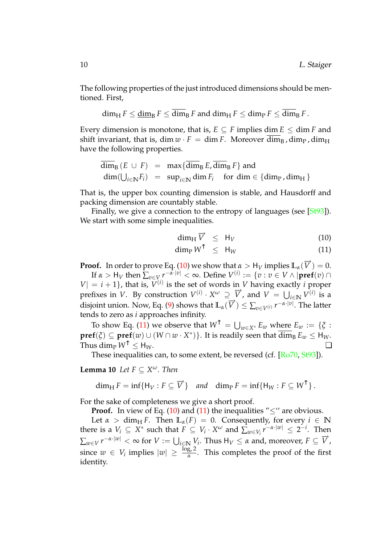The following properties of the just introduced dimensions should be mentioned. First,

$$
\dim_{\mathrm{H}} F \leq \underline{\dim}_{\mathrm{B}} F \leq \overline{\dim}_{\mathrm{B}} F \text{ and } \dim_{\mathrm{H}} F \leq \dim_{\mathrm{P}} F \leq \overline{\dim}_{\mathrm{B}} F.
$$

Every dimension is monotone, that is,  $E \subseteq F$  implies dim  $E \le \dim F$  and shift invariant, that is, dim  $w \cdot F = \dim F$ . Moreover  $\overline{\dim}_B$ , dim<sub>P</sub>, dim<sub>H</sub> have the following properties.

$$
\overline{\dim}_{B} (E \cup F) = \max \{ \overline{\dim}_{B} E, \overline{\dim}_{B} F \} \text{ and}
$$
  

$$
\dim(\bigcup_{i \in \mathbb{N}} F_i) = \sup_{i \in \mathbb{N}} \dim F_i \text{ for } \dim \in \{ \dim_{P}, \dim_{H} \}
$$

That is, the upper box counting dimension is stable, and Hausdorff and packing dimension are countably stable.

Finally, we give a connection to the entropy of languages (see [\[St93\]](#page-23-0)). We start with some simple inequalities.

$$
\dim_{\mathrm{H}} \overrightarrow{V} \leq \mathrm{H}_{V} \tag{10}
$$

<span id="page-10-1"></span><span id="page-10-0"></span>
$$
\dim_{\mathrm{P}} W^{\uparrow} \leq H_W \tag{11}
$$

**Proof.** In order to prove Eq. [\(10\)](#page-10-0) we show that  $\alpha > H_V$  implies  $\mathbb{L}_{\alpha}(\overrightarrow{V}) = 0$ .

If  $\alpha > H_V$  then  $\sum_{v \in V} r^{-\alpha \cdot |v|} < \infty$ . Define  $V^{(i)} := \{v : v \in V \wedge |\textbf{pref}(v) \cap$  $|V| = i + 1$ , that is,  $V^{(i)}$  is the set of words in *V* having exactly *i* proper prefixes in *V*. By construction  $V^{(i)} \cdot X^{\omega} \supseteq \overrightarrow{V}$ , and  $V = \bigcup_{i \in \mathbb{N}} V^{(i)}$  is a disjoint union. Now, Eq. [\(9\)](#page-9-1) shows that  $\mathbb{L}_{\alpha}(\overrightarrow{V}) \leq \sum_{v \in V^{(i)}} r^{-\alpha \cdot |v|}$ . The latter tends to zero as *i* approaches infinity.

To show Eq. [\(11\)](#page-10-0) we observe that  $W^{\uparrow} = \bigcup_{w \in X^*} E_w$  where  $E_w := \{\xi :$  $\textbf{pref}(\xi)\subseteq\textbf{pref}(w)\cup(W\cap w\cdot X^*)\}.$  It is readily seen that  $\overline{\dim}_{\text{B}}E_w\leq \textsf{H}_W.$ Thus dim<sub>p</sub>  $W^{\uparrow}$  < H<sub>W</sub>.  $\square$ 

These inequalities can, to some extent, be reversed (cf. [\[Ro70,](#page-22-10) [St93\]](#page-23-0)).

**Lemma 10** *Let*  $F \subseteq X^{\omega}$ *. Then* 

$$
\dim_{\mathrm{H}} F = \inf \{ \mathrm{H}_V : F \subseteq \overrightarrow{V} \} \quad \text{and} \quad \dim_{\mathrm{P}} F = \inf \{ \mathrm{H}_W : F \subseteq W^\uparrow \} \, .
$$

For the sake of completeness we give a short proof.

**Proof.** In view of Eq. [\(10\)](#page-10-0) and [\(11\)](#page-10-0) the inequalities " $\leq$ " are obvious.

Let  $\alpha > \dim_{\mathrm{H}} F$ . Then  $\mathbb{L}_{\alpha}(F) = 0$ . Consequently, for every  $i \in \mathbb{N}$ there is a  $V_i \subseteq X^*$  such that  $F \subseteq V_i \cdot X^\omega$  and  $\sum_{w \in V_i} r^{-\alpha \cdot |w|} \leq 2^{-i}$ . Then  $\sum_{w \in V} r^{-\alpha \cdot |w|} < \infty$  for  $V := \bigcup_{i \in \mathbb{N}} V_i$ . Thus  $H_V \leq \alpha$  and, moreover,  $F \subseteq \overrightarrow{V}$ , since  $w \in V_i$  implies  $|w| \geq \frac{\log_r 2}{\alpha}$  $\frac{Br^2}{\alpha}$ . This completes the proof of the first identity.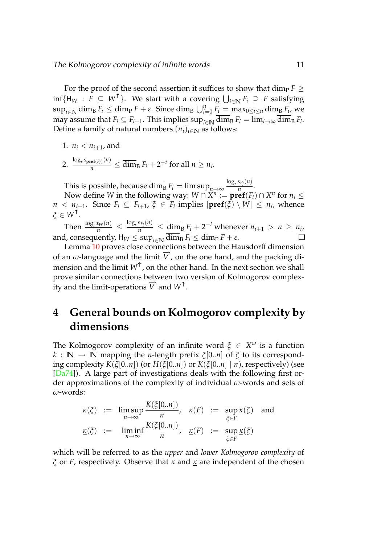For the proof of the second assertion it suffices to show that dim<sub>P</sub>  $F \geq$  $\inf\{H_W : F \subseteq W^{\uparrow}\}\$ . We start with a covering  $\bigcup_{i \in \mathbb{N}} F_i \supseteq F$  satisfying  $\sup_{i\in\mathbb{N}}\overline{\dim}_{\text{B}} F_i \leq \dim_{\text{P}} F + \varepsilon$ . Since  $\overline{\dim}_{\text{B}} \bigcup_{i=0}^n F_i = \max_{0\leq i\leq n}\overline{\dim}_{\text{B}} F_i$ , we may assume that  $F_i \subseteq F_{i+1}$ . This implies  $\sup_{i \in \mathbb{N}} \dim_\text{B} F_i = \lim_{i \to \infty} \dim_\text{B} F_i$ . Define a family of natural numbers  $(n_i)_{i \in \mathbb{N}}$  as follows:

1. 
$$
n_i < n_{i+1}
$$
, and

2.  $\frac{\log_r s_{\text{pref}(F_i)}(n)}{n} \le \overline{\dim}_{\text{B}} F_i + 2^{-i} \text{ for all } n \ge n_i.$ 

This is possible, because  $\overline{\dim}_{\text{B}} F_i = \limsup_{n \to \infty} \frac{\log_r s_{F_i}(n)}{n}$  $\frac{r_i(0)}{n}$ .

Now define *W* in the following way:  $W \cap X^n := \textbf{pref}(F_i) \cap X^n$  for  $n_i \leq$  $n < n_{i+1}$ . Since  $F_i \subseteq F_{i+1}$ ,  $\xi \in F_i$  implies  $|\textbf{pref}(\xi) \setminus W| \leq n_i$ , whence *<sup>ξ</sup>* <sup>∈</sup> *<sup>W</sup>*↑.

Then  $\frac{\log_r s_W(n)}{n} \le \frac{\log_r s_{F_i}(n)}{n} \le \frac{\dim_B F_i + 2^{-i}$  whenever  $n_{i+1} > n \ge n_i$ , and, consequently,  $H_W \le \sup_{i \in \mathbb{N}} \overline{\dim}_B F_i \le \dim_P F + \varepsilon$ .

Lemma [10](#page-10-1) proves close connections between the Hausdorff dimension of an  $\omega$ -language and the limit  $\vec{V}$ , on the one hand, and the packing dimension and the limit *W*↑, on the other hand. In the next section we shall prove similar connections between two version of Kolmogorov complexity and the limit-operations  $\vec{V}$  and  $W^{\uparrow}$ .

## <span id="page-11-0"></span>**4 General bounds on Kolmogorov complexity by dimensions**

The Kolmogorov complexity of an infinite word  $\xi \in X^\omega$  is a function  $k : \mathbb{N} \to \mathbb{N}$  mapping the *n*-length prefix  $\xi[0..n]$  of  $\xi$  to its corresponding complexity  $K(\xi[0..n])$  (or  $H(\xi[0..n])$  or  $K(\xi[0..n] \mid n)$ , respectively) (see [\[Da74\]](#page-21-5)). A large part of investigations deals with the following first order approximations of the complexity of individual *ω*-words and sets of *ω*-words:

$$
\kappa(\xi) := \limsup_{n \to \infty} \frac{K(\xi[0..n])}{n}, \quad \kappa(F) := \sup_{\xi \in F} \kappa(\xi) \quad \text{and}
$$
\n
$$
\underline{\kappa}(\xi) := \liminf_{n \to \infty} \frac{K(\xi[0..n])}{n}, \quad \underline{\kappa}(F) := \sup_{\xi \in F} \underline{\kappa}(\xi)
$$

which will be referred to as the *upper* and *lower Kolmogorov complexity* of *ξ* or *F*, respectively. Observe that *κ* and *κ* are independent of the chosen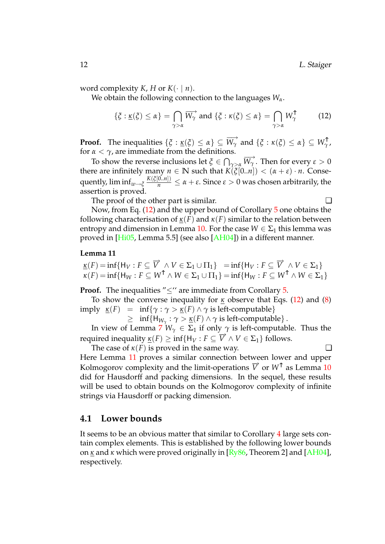word complexity *K*, *H* or  $K(\cdot | n)$ .

We obtain the following connection to the languages *Wα*.

<span id="page-12-1"></span>
$$
\{\xi : \underline{\kappa}(\xi) \le \alpha\} = \bigcap_{\gamma > \alpha} \overrightarrow{W_{\gamma}} \text{ and } \{\xi : \kappa(\xi) \le \alpha\} = \bigcap_{\gamma > \alpha} W_{\gamma}^{\uparrow} \tag{12}
$$

**Proof.** The inequalities  $\{\xi : \underline{\kappa}(\xi) \le \alpha\} \subseteq \overrightarrow{W_{\gamma}}$  and  $\{\xi : \kappa(\xi) \le \alpha\} \subseteq \overrightarrow{W_{\gamma}}$ , for  $\alpha < \gamma$ , are immediate from the definitions.

To show the reverse inclusions let  $\zeta \in \bigcap_{\gamma > \alpha} \overline{W_{\gamma}}$ . Then for every  $\varepsilon > 0$ there are infinitely many  $n \in \mathbb{N}$  such that  $K(\xi[0..n]) < (\alpha + \varepsilon) \cdot n$ . Conse $p$  quently,  $\liminf_{w\to \xi} \frac{K(\xi[0..n])}{n} \leq \alpha+\varepsilon$ . Since  $\varepsilon>0$  was chosen arbitrarily, the assertion is proved.

The proof of the other part is similar.  $□$ 

Now, from Eq. [\(12\)](#page-12-1) and the upper bound of Corollary [5](#page-8-4) one obtains the following characterisation of  $\underline{\kappa}(F)$  and  $\kappa(F)$  similar to the relation between entropy and dimension in Lemma [10.](#page-10-1) For the case  $W \in \Sigma_1$  this lemma was proved in [\[Hi05,](#page-21-9) Lemma 5.5] (see also [\[AH04\]](#page-20-1)) in a different manner.

#### **Lemma 11**

 $\underline{\kappa}(F) = \inf \{ H_V : F \subseteq \overrightarrow{V} \land V \in \Sigma_1 \cup \Pi_1 \} = \inf \{ H_V : F \subseteq \overrightarrow{V} \land V \in \Sigma_1 \}$  $\kappa(F) = \inf \{ H_W : F \subseteq W^\uparrow \land W \in \Sigma_1 \cup \Pi_1 \} = \inf \{ H_W : F \subseteq W^\uparrow \land W \in \Sigma_1 \}$ 

**Proof.** The inequalities "<" are immediate from Corollary [5.](#page-8-4)

To show the converse inequality for *κ* observe that Eqs. [\(12\)](#page-12-1) and [\(8\)](#page-8-2) imply *κ*(*F*) = inf{*γ* : *γ* > *κ*(*F*) ∧ *γ* is left-computable}

 $\geq \inf \{ H_{W_\gamma} : \gamma > \underline{\kappa}(F) \wedge \gamma \text{ is left-computable} \}.$ 

In view of Lemma [7](#page-8-3)  $W_{\gamma} \in \Sigma_1$  if only  $\gamma$  is left-computable. Thus the required inequality  $\underline{\kappa}(F) \ge \inf \{ H_V : F \subseteq \overrightarrow{V} \land V \in \Sigma_1 \}$  follows.

The case of  $\kappa(F)$  is proved in the same way.  $\Box$ 

<span id="page-12-2"></span>

Here Lemma [11](#page-12-2) proves a similar connection between lower and upper Kolmogorov complexity and the limit-operations  $\overrightarrow{V}$  or  $W^{\uparrow}$  as Lemma [10](#page-10-1) did for Hausdorff and packing dimensions. In the sequel, these results will be used to obtain bounds on the Kolmogorov complexity of infinite strings via Hausdorff or packing dimension.

#### <span id="page-12-0"></span>**4.1 Lower bounds**

<span id="page-12-3"></span>It seems to be an obvious matter that similar to Corollary [4](#page-7-3) large sets contain complex elements. This is established by the following lower bounds on *κ* and *κ* which were proved originally in [\[Ry86,](#page-22-3) Theorem 2] and [\[AH04\]](#page-20-1), respectively.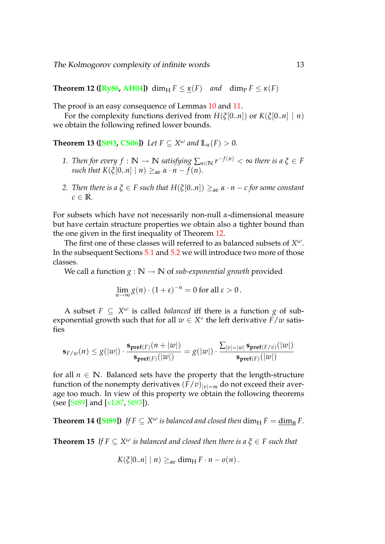**Theorem 12 ([\[Ry86,](#page-22-3) [AH04\]](#page-20-1))** dim<sub>H</sub>  $F \leq \kappa(F)$  and dim<sub>P</sub>  $F \leq \kappa(F)$ 

The proof is an easy consequence of Lemmas [10](#page-10-1) and [11.](#page-12-2)

For the complexity functions derived from  $H(\xi[0..n])$  or  $K(\xi[0..n] \mid n)$ we obtain the following refined lower bounds.

**Theorem 13 ([\[St93,](#page-23-0) [CS06\]](#page-21-8))** Let  $F \subseteq X^{\omega}$  and  $\mathbb{L}_{\alpha}(F) > 0$ .

- <span id="page-13-1"></span>*1. Then for every f* :  $\mathbb{N} \to \mathbb{N}$  *satisfying*  $\sum_{n \in \mathbb{N}} r^{-f(n)} < \infty$  *there is a*  $\xi \in F$ *such that*  $K(\xi[0..n] \mid n) \geq_{\text{ae}} \alpha \cdot n - f(n)$ .
- *2. Then there is a*  $\xi \in F$  *such that*  $H(\xi[0..n]) >_{\text{ae}} \alpha \cdot n c$  for some constant  $c \in \mathbb{R}$ *.*

For subsets which have not necessarily non-null *α*-dimensional measure but have certain structure properties we obtain also a tighter bound than the one given in the first inequality of Theorem [12.](#page-12-3)

The first one of these classes will referred to as balanced subsets of *X ω*. In the subsequent Sections [5.1](#page-16-1) and [5.2](#page-17-0) we will introduce two more of those classes.

We call a function  $g : \mathbb{N} \to \mathbb{N}$  of *sub-exponential growth* provided

$$
\lim_{n\to\infty} g(n) \cdot (1+\varepsilon)^{-n} = 0 \text{ for all } \varepsilon > 0.
$$

A subset  $F \subseteq X^{\omega}$  is called *balanced* iff there is a function *g* of subexponential growth such that for all  $w \in X^*$  the left derivative  $\overline{F}/w$  satisfies

$$
\mathbf{s}_{F/w}(n) \leq g(|w|) \cdot \frac{\mathbf{s}_{\mathbf{pref}(F)}(n+|w|)}{\mathbf{s}_{\mathbf{pref}(F)}(|w|)} = g(|w|) \cdot \frac{\sum_{|v|=|w|} \mathbf{s}_{\mathbf{pref}(F/v)}(|w|)}{\mathbf{s}_{\mathbf{pref}(F)}(|w|)}
$$

for all  $n \in \mathbb{N}$ . Balanced sets have the property that the length-structure function of the nonempty derivatives  $(F/v)|_{v|=m}$  do not exceed their average too much. In view of this property we obtain the following theorems (see [\[St89\]](#page-23-7) and [\[vL87,](#page-23-1) [St93\]](#page-23-0)).

**Theorem 14 ([\[St89\]](#page-23-7))** If  $F \subseteq X^\omega$  is balanced and closed then  $\dim_\text{H} F = \underline{\dim}_\text{B} F$ .

<span id="page-13-0"></span>**Theorem 15** If  $F \subseteq X^\omega$  is balanced and closed then there is a  $\xi \in F$  such that

$$
K(\xi[0..n] \mid n) \geq_{\text{ae}} \dim_{\text{H}} F \cdot n - o(n).
$$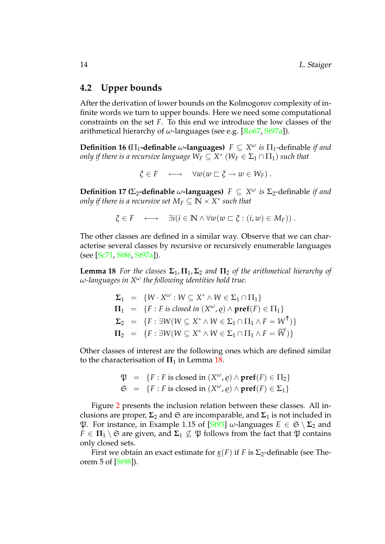#### <span id="page-14-0"></span>**4.2 Upper bounds**

After the derivation of lower bounds on the Kolmogorov complexity of infinite words we turn to upper bounds. Here we need some computational constraints on the set *F*. To this end we introduce the low classes of the arithmetical hierarchy of *ω*-languages (see e.g. [\[Ro67,](#page-22-11) [St97a\]](#page-23-8)).

**Definition 16 (** $\Pi_1$ **-definable**  $\omega$ -languages)  $F \subseteq X^{\omega}$  *is*  $\Pi_1$ -definable *if and only if there is a recursive language*  $W_F \subseteq X^*$  $(W_F \in \Sigma_1 \cap \Pi_1)$  *such that* 

 $\zeta \in F \longleftrightarrow \forall w(w \sqsubset \zeta \to w \in W_F)$ .

**Definition 17 (** $\Sigma_2$ -definable  $\omega$ -languages)  $F \subseteq X^{\omega}$  *is*  $\Sigma_2$ -definable *if and only if there is a recursive set*  $M_F \subseteq \bar{\mathbb{N}} \times \overline{X}^*$  *such that* 

<span id="page-14-1"></span>
$$
\xi \in F \quad \longleftrightarrow \quad \exists i (i \in \mathbb{N} \land \forall w (w \sqsubset \xi : (i, w) \in M_F)).
$$

The other classes are defined in a similar way. Observe that we can characterise several classes by recursive or recursively enumerable languages (see [\[Sc71,](#page-22-6) [St86,](#page-23-9) [St97a\]](#page-23-8)).

**Lemma 18** *For the classes*  $\Sigma_1$ ,  $\Pi_1$ ,  $\Sigma_2$  *and*  $\Pi_2$  *of the arithmetical hierarchy of ω-languages in X<sup>ω</sup> the following identities hold true.*

$$
\Sigma_1 = \{ W \cdot X^{\omega} : W \subseteq X^* \wedge W \in \Sigma_1 \cap \Pi_1 \}
$$
  
\n
$$
\Pi_1 = \{ F : F \text{ is closed in } (X^{\omega}, \varrho) \wedge \text{pref}(F) \in \Pi_1 \}
$$
  
\n
$$
\Sigma_2 = \{ F : \exists W (W \subseteq X^* \wedge W \in \Sigma_1 \cap \Pi_1 \wedge F = W^{\uparrow}) \}
$$
  
\n
$$
\Pi_2 = \{ F : \exists W (W \subseteq X^* \wedge W \in \Sigma_1 \cap \Pi_1 \wedge F = \overrightarrow{W}) \}
$$

Other classes of interest are the following ones which are defined similar to the characterisation of  $\Pi_1$  in Lemma [18.](#page-14-1)

$$
\mathfrak{P} = \{F : F \text{ is closed in } (X^{\omega}, \varrho) \land \text{pref}(F) \in \Pi_2\}
$$
  

$$
\mathfrak{S} = \{F : F \text{ is closed in } (X^{\omega}, \varrho) \land \text{pref}(F) \in \Sigma_1\}
$$

Figure [2](#page-15-0) presents the inclusion relation between these classes. All inclusions are proper,  $\Sigma_2$  and  $\mathfrak{S}$  are incomparable, and  $\Sigma_1$  is not included in P. For instance, in Example 1.15 of [\[St93\]](#page-23-0) *ω*-languages *E* ∈ S \ **Σ**<sup>2</sup> and  $F \in \Pi_1 \setminus \mathfrak{S}$  are given, and  $\Sigma_1 \nsubseteq \mathfrak{P}$  follows from the fact that  $\mathfrak{P}$  contains only closed sets.

<span id="page-14-2"></span>First we obtain an exact estimate for  $\kappa(F)$  if *F* is  $\Sigma_2$ -definable (see Theorem 5 of [\[St98\]](#page-23-5)).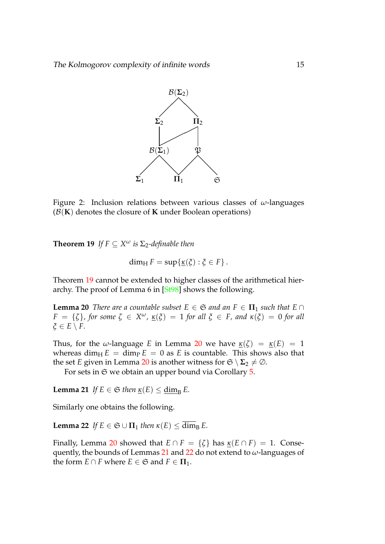

<span id="page-15-0"></span>Figure 2: Inclusion relations between various classes of *ω*-languages  $(B(K))$  denotes the closure of **K** under Boolean operations)

**Theorem 19** *If*  $F \subseteq X^{\omega}$  *is*  $\Sigma_2$ -definable then

<span id="page-15-2"></span><span id="page-15-1"></span>
$$
\dim_{\mathrm{H}} F = \sup \{ \underline{\kappa}(\xi) : \xi \in F \}.
$$

Theorem [19](#page-14-2) cannot be extended to higher classes of the arithmetical hierarchy. The proof of Lemma 6 in [\[St98\]](#page-23-5) shows the following.

**Lemma 20** *There are a countable subset*  $E \in \mathfrak{S}$  *and an*  $F \in \Pi_1$  *such that*  $E \cap$  $F = \{\zeta\}$ , for some  $\zeta \in X^\omega$ ,  $\underline{\kappa}(\xi) = 1$  for all  $\xi \in F$ , and  $\kappa(\xi) = 0$  for all *ξ* ∈ *E* \ *F.*

Thus, for the *ω*-language *E* in Lemma [20](#page-15-1) we have  $\underline{\kappa}(\zeta) = \underline{\kappa}(E) = 1$ whereas dim<sub>H</sub>  $E = \dim_{P} E = 0$  as *E* is countable. This shows also that the set *E* given in Lemma [20](#page-15-1) is another witness for  $\mathfrak{S} \setminus \Sigma_2 \neq \emptyset$ .

<span id="page-15-3"></span>For sets in  $\mathfrak S$  we obtain an upper bound via Corollary [5.](#page-8-4)

**Lemma 21** *If*  $E \in \mathfrak{S}$  *then*  $\underline{\kappa}(E) \le \underline{\dim}_{\mathrm{B}} E$ .

Similarly one obtains the following.

**Lemma 22** *If*  $E \in \mathfrak{S} \cup \Pi_1$  *then*  $\kappa(E) \leq \overline{\dim}_B E$ .

Finally, Lemma [20](#page-15-1) showed that  $E \cap F = \{\zeta\}$  has  $\kappa(E \cap F) = 1$ . Consequently, the bounds of Lemmas [21](#page-15-2) and [22](#page-15-3) do not extend to *ω*-languages of the form  $E \cap F$  where  $E \in \mathfrak{S}$  and  $F \in \Pi_1$ .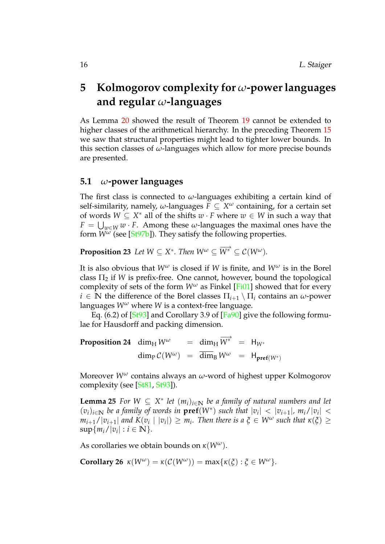# <span id="page-16-0"></span>**5 Kolmogorov complexity for** *ω***-power languages and regular** *ω***-languages**

As Lemma [20](#page-15-1) showed the result of Theorem [19](#page-14-2) cannot be extended to higher classes of the arithmetical hierarchy. In the preceding Theorem [15](#page-13-0) we saw that structural properties might lead to tighter lower bounds. In this section classes of *ω*-languages which allow for more precise bounds are presented.

#### <span id="page-16-1"></span>**5.1** *ω***-power languages**

The first class is connected to *ω*-languages exhibiting a certain kind of self-similarity, namely,  $\omega$ -languages  $F \subseteq X^{\omega}$  containing, for a certain set of words  $W \subseteq X^*$  all of the shifts  $w \cdot F$  where  $w \in W$  in such a way that  $F = \bigcup_{w \in W} w \cdot F$ . Among these *w*-languages the maximal ones have the form *W<sup>ω</sup>* (see [\[St97b\]](#page-23-10)). They satisfy the following properties.

**Proposition 23** Let  $W \subseteq X^*$ . Then  $W^\omega \subseteq \overrightarrow{W^*} \subseteq \mathcal{C}(W^\omega)$ .

It is also obvious that  $W^{\omega}$  is closed if *W* is finite, and  $W^{\omega}$  is in the Borel class  $\Pi_2$  if *W* is prefix-free. One cannot, however, bound the topological complexity of sets of the form  $W^{\omega}$  as Finkel [\[Fi01\]](#page-21-12) showed that for every  $i \in \mathbb{N}$  the difference of the Borel classes  $\Pi_{i+1} \setminus \Pi_i$  contains an  $\omega$ -power languages *W<sup>ω</sup>* where *W* is a context-free language.

<span id="page-16-2"></span>Eq. (6.2) of  $[St93]$  and Corollary 3.9 of  $[Fa90]$  give the following formulae for Hausdorff and packing dimension.

**Proposition 24** dim<sub>H</sub>  $W^{\omega}$  = dim<sub>H</sub>  $\overrightarrow{W^*}$  = H<sub>W\*</sub>  $\dim_{\text{P}} C(W^{\omega}) = \overline{\dim}_{\text{B}} W^{\omega} = H_{\text{pref}(W^*)}$ 

Moreover *W<sup>ω</sup>* contains always an *ω*-word of highest upper Kolmogorov complexity (see [\[St81,](#page-22-5) [St93\]](#page-23-0)).

**Lemma 25** *For*  $W \subseteq X^*$  *let*  $(m_i)_{i \in \mathbb{N}}$  *be a family of natural numbers and let*  $(v_i)_{i \in \mathbb{N}}$  be a family of words in  $\text{pref}(W^*)$  such that  $|v_i| < |v_{i+1}|$ ,  $m_i/|v_i| <$  $m_{i+1}/|v_{i+1}|$  and  $K(v_i \mid |v_i|) \geq m_i$ . Then there is a  $\xi \in W^\omega$  such that  $\kappa(\xi) \geq 0$  $\sup\{m_i/|v_i| : i \in \mathbb{N}\}.$ 

As corollaries we obtain bounds on *κ*(*Wω*).

**Corollary 26**  $\kappa(W^{\omega}) = \kappa(C(W^{\omega})) = \max{\kappa(\xi) : \xi \in W^{\omega}}$ .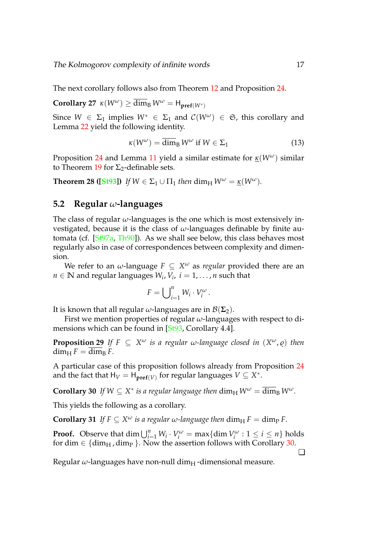The next corollary follows also from Theorem [12](#page-12-3) and Proposition [24.](#page-16-2)

**Corollary 27**  $\kappa(W^{\omega}) \ge \overline{\dim}_{\mathrm{B}} W^{\omega} = \mathsf{H}_{\textbf{pref}(W^*)}$ 

Since  $W \in \Sigma_1$  implies  $W^* \in \Sigma_1$  and  $C(W^{\omega}) \in \mathfrak{S}$ , this corollary and Lemma [22](#page-15-3) yield the following identity.

$$
\kappa(W^{\omega}) = \overline{\dim}_{B} W^{\omega} \text{ if } W \in \Sigma_{1} \tag{13}
$$

Proposition [24](#page-16-2) and Lemma [11](#page-12-2) yield a similar estimate for *κ*(*Wω*) similar to Theorem [19](#page-14-2) for  $\Sigma$ <sub>2</sub>-definable sets.

**Theorem 28 ([\[St93\]](#page-23-0))** If  $W \in \Sigma_1 \cup \Pi_1$  then  $\dim_H W^\omega = \kappa(W^\omega)$ .

#### <span id="page-17-0"></span>**5.2 Regular** *ω***-languages**

The class of regular *ω*-languages is the one which is most extensively investigated, because it is the class of *ω*-languages definable by finite automata (cf. [\[St97a,](#page-23-8) [Th90\]](#page-23-11)). As we shall see below, this class behaves most regularly also in case of correspondences between complexity and dimension.

We refer to an  $\omega$ -language  $F \subseteq X^\omega$  as *regular* provided there are an  $n \in \mathbb{N}$  and regular languages  $W_i, V_i, i = 1, \ldots, n$  such that

$$
F=\bigcup_{i=1}^n W_i\cdot V_i^{\omega}.
$$

It is known that all regular  $\omega$ -languages are in  $\mathcal{B}(\Sigma_2)$ .

First we mention properties of regular *ω*-languages with respect to dimensions which can be found in [\[St93,](#page-23-0) Corollary 4.4].

**Propositio<u>n</u> 29** If  $F \subseteq X^\omega$  is a regular  $\omega$ -language closed in  $(X^\omega, \varrho)$  then  $\dim_\text{H} F = \overline{\dim}_R F$ .

A particular case of this proposition follows already from Proposition [24](#page-16-2) and the fact that  $H_V = H_{\text{pref}(V)}$  for regular languages  $V \subseteq X^*$ .

**Corollary 30** If  $W \subseteq X^*$  is a regular language then  $\dim_H W^\omega = \overline{\dim}_B W^\omega$ .

This yields the following as a corollary.

**Corollary 31** *If*  $F \subseteq X^\omega$  is a regular  $\omega$ -language then  $\dim_\text{H} F = \dim_\text{P} F$ .

**Proof.** Observe that dim  $\bigcup_{i=1}^{n} W_i \cdot V_i^{\omega} = \max\{\dim V_i^{\omega}: 1 \le i \le n\}$  holds for dim  $\in \{ \dim_H, \dim_P \}$ . Now the assertion follows with Corollary [30.](#page-17-1)

<span id="page-17-1"></span> $\Box$ 

Regular *ω*-languages have non-null dim<sub>H</sub>-dimensional measure.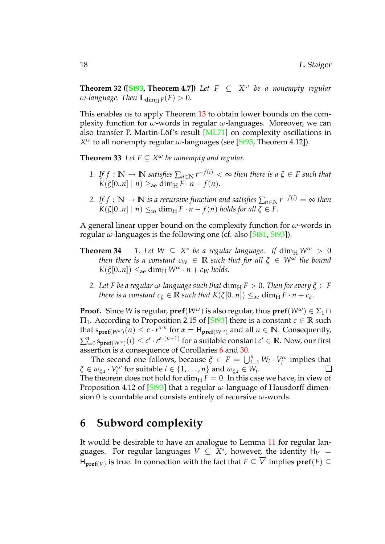**Theorem 32 ([\[St93,](#page-23-0) Theorem 4.7])** Let  $F \subseteq X^{\omega}$  be a nonempty regular  $\omega$ *-language. Then*  $\mathbb{L}_{\dim_{\mathbb{H}} F}(F) > 0$ *.* 

This enables us to apply Theorem [13](#page-13-1) to obtain lower bounds on the complexity function for *ω*-words in regular *ω*-languages. Moreover, we can also transfer P. Martin-Löf's result [[ML71\]](#page-22-12) on complexity oscillations in *X <sup>ω</sup>* to all nonempty regular *ω*-languages (see [\[St93,](#page-23-0) Theorem 4.12]).

**Theorem 33** Let  $F \subseteq X^\omega$  be nonempty and regular.

- 1. If  $f : \mathbb{N} \to \mathbb{N}$  satisfies  $\sum_{n \in \mathbb{N}} r^{-f(i)} < \infty$  then there is a  $\xi \in F$  such that  $K(\xi[0..n] \mid n) \geq_{\text{ae}} \dim_{\text{H}} F \cdot n - f(n).$
- 2. If  $f : \mathbb{N} \to \mathbb{N}$  *is a recursive function and satisfies*  $\sum_{n \in \mathbb{N}} r^{-f(i)} = \infty$  *then*  $K(\xi[0..n] \mid n) \leq_{\text{io}} \dim_{\text{H}} F \cdot n - f(n) \text{ holds for all } \xi \in F.$

A general linear upper bound on the complexity function for *ω*-words in regular  $\omega$ -languages is the following one (cf. also [\[St81,](#page-22-5) [St93\]](#page-23-0)).

- **Theorem 34** 1. Let  $W \subseteq X^*$  be a regular language. If  $\dim_H W^\omega > 0$ *then there is a constant*  $c_W \in \mathbb{R}$  *such that for all*  $\xi \in W^\omega$  *the bound*  $K(\xi[0..n]) \leq_{\text{ae}} \dim_{\text{H}} W^{\omega} \cdot n + c_W \text{ holds.}$ 
	- *2. Let F be a regular*  $\omega$ *-language such that*  $\dim_H F > 0$ *. Then for every*  $\xi \in F$ *there is a constant*  $c_{\xi} \in \mathbb{R}$  *such that*  $K(\xi[0..n]) \leq_{\text{ae}} \dim_{\text{H}} F \cdot n + c_{\xi}.$

**Proof.** Since *W* is regular,  $\text{pref}(W^{\omega})$  is also regular, thus  $\text{pref}(W^{\omega}) \in \Sigma_1 \cap \Sigma_2$  $\Pi_1$ . According to Proposition 2.15 of  $[St93]$  there is a constant  $c \in \mathbb{R}$  such that  $s_{\textbf{pref}(W^{\omega})}(n) \leq c \cdot r^{\alpha \cdot n}$  for  $\alpha = H_{\textbf{pref}(W^{\omega})}$  and all  $n \in \mathbb{N}$ . Consequently,  $\sum_{i=0}^n \mathsf{s}_{\mathsf{pref}(W^{\omega})}(i) \leq c' \cdot r^{\alpha \cdot (n+1)}$  for a suitable constant  $c' \in \mathbb{R}.$  Now, our first assertion is a consequence of Corollaries [6](#page-8-5) and [30.](#page-17-1)

The second one follows, because  $\xi \in F = \bigcup_{i=1}^n W_i \cdot V_i^{\omega}$  implies that  $\zeta \in w_{\xi,i} \cdot V_i^{\omega}$  for suitable  $i \in \{1, \ldots, n\}$  and  $w_{\xi,i} \in W_i$ .  $\Box$ The theorem does not hold for dim<sub>H</sub>  $F = 0$ . In this case we have, in view of Proposition 4.12 of [\[St93\]](#page-23-0) that a regular *ω*-language of Hausdorff dimension 0 is countable and consists entirely of recursive *ω*-words.

### <span id="page-18-0"></span>**6 Subword complexity**

It would be desirable to have an analogue to Lemma [11](#page-12-2) for regular languages. For regular languages  $V \subseteq X^*$ , however, the identity  $H_V =$  $H_{\text{pref}(V)}$  is true. In connection with the fact that  $F \subseteq \overrightarrow{V}$  implies  $\text{pref}(F) \subseteq$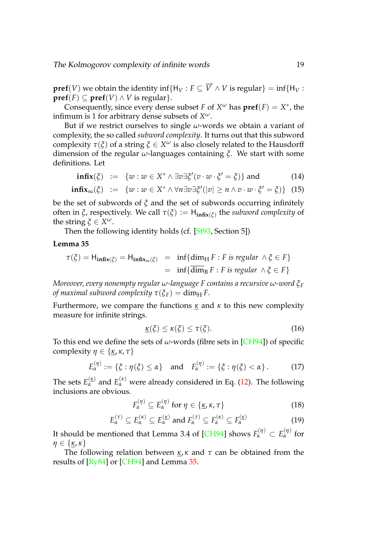#### The Kolmogorov complexity of infinite words 19

 $\textbf{pref}(V)$  we obtain the identity  $\inf\{ \mathsf{H}_V : F \subseteq \overrightarrow{V} \wedge V \text{ is regular} \} = \inf\{ \mathsf{H}_V : F \subseteq \overrightarrow{V} \wedge V \text{ is regular} \}$  $\mathbf{pref}(F) \subset \mathbf{pref}(V) \wedge V$  is regular}.

Consequently, since every dense subset *F* of  $X^{\omega}$  has  $\text{pref}(F) = X^*$ , the infimum is 1 for arbitrary dense subsets of *X ω*.

But if we restrict ourselves to single *ω*-words we obtain a variant of complexity, the so called *subword complexity*. It turns out that this subword complexity *τ*(*ξ*) of a string *ξ* ∈ *X <sup>ω</sup>* is also closely related to the Hausdorff dimension of the regular *ω*-languages containing *ξ*. We start with some definitions. Let

$$
\mathbf{infix}(\xi) \ := \ \{w : w \in X^* \land \exists v \exists \xi'(v \cdot w \cdot \xi' = \xi)\} \text{ and } \tag{14}
$$

$$
\mathbf{infix}_{\infty}(\xi) \ := \ \{w : w \in X^* \land \forall n \exists v \exists \xi'(|v| \geq n \land v \cdot w \cdot \xi' = \xi)\} \tag{15}
$$

be the set of subwords of *ξ* and the set of subwords occurring infinitely often in *ξ*, respectively. We call *τ*(*ξ*) := H**infix**(*ξ*) the *subword complexity* of the string  $\xi \in X^{\omega}$ .

Then the following identity holds (cf. [\[St93,](#page-23-0) Section 5])

**Lemma 35**

$$
\tau(\xi) = H_{\text{infix}(\xi)} = H_{\text{infix}_{\infty}(\xi)} = \inf \{ \dim_H F : F \text{ is regular } \wedge \xi \in F \}
$$
  
= 
$$
\inf \{ \overline{\dim}_B F : F \text{ is regular } \wedge \xi \in F \}
$$

*Moreover, every nonempty regular ω-language F contains a recursive ω-word ξ<sup>F</sup> of maximal subword complexity*  $\tau(\xi_F) = \dim_\text{H} F$ .

Furthermore, we compare the functions  $\kappa$  and  $\kappa$  to this new complexity measure for infinite strings.

<span id="page-19-0"></span>
$$
\underline{\kappa}(\xi) \le \kappa(\xi) \le \tau(\xi). \tag{16}
$$

To this end we define the sets of  $\omega$ -words (fibre sets in [\[CH94\]](#page-21-7)) of specific complexity  $\eta \in \{\kappa, \kappa, \tau\}$ 

$$
E_{\alpha}^{(\eta)} := \{ \xi : \eta(\xi) \le \alpha \} \quad \text{and} \quad F_{\alpha}^{(\eta)} := \{ \xi : \eta(\xi) < \alpha \} \,.
$$
 (17)

The sets  $E_{\alpha}^{(\kappa)}$  and  $E_{\alpha}^{(\kappa)}$  were already considered in Eq. [\(12\)](#page-12-1). The following inclusions are obvious.

<span id="page-19-3"></span><span id="page-19-1"></span>
$$
F_{\alpha}^{(\eta)} \subseteq E_{\alpha}^{(\eta)} \text{ for } \eta \in \{\underline{\kappa}, \kappa, \tau\}
$$
 (18)

<span id="page-19-2"></span>
$$
E_{\alpha}^{(\tau)} \subseteq E_{\alpha}^{(\kappa)} \subseteq E_{\alpha}^{(\kappa)} \text{ and } F_{\alpha}^{(\tau)} \subseteq F_{\alpha}^{(\kappa)} \subseteq F_{\alpha}^{(\kappa)} \tag{19}
$$

It should be mentioned that Lemma 3.4 of [\[CH94\]](#page-21-7) shows  $F_{\alpha}^{(\eta)} \subset E_{\alpha}^{(\eta)}$  for *η* ∈ {*κ*, *κ*}

The following relation between *κ*, *κ* and *τ* can be obtained from the results of [\[Ry84\]](#page-22-2) or [\[CH94\]](#page-21-7) and Lemma [35.](#page-19-0)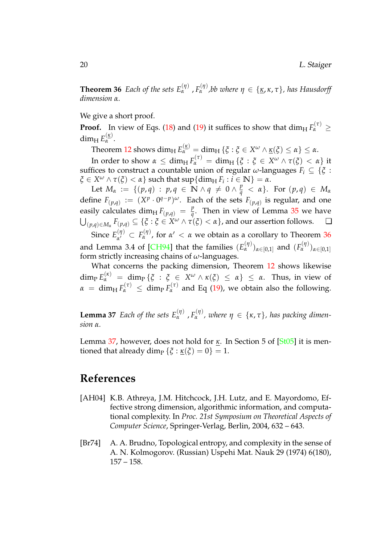**Theorem 36** *Each of the sets*  $E_{\alpha}^{(\eta)}$ ,  $F_{\alpha}^{(\eta)}$ , bb where  $\eta \in {\{\kappa, \kappa, \tau\}}$ , has Hausdorff *dimension α.*

We give a short proof.

**Proof.** In view of Eqs. [\(18\)](#page-19-1) and [\(19\)](#page-19-2) it suffices to show that  $\dim_{\mathrm{H}} F_{\alpha}^{(\tau)} \geq$ dim<sub>H</sub>  $E_{\alpha}^{(k)}$ .

Theorem [12](#page-12-3) shows  $\dim_{\mathrm{H}} E_{\alpha}^{(\underline{\kappa})} = \dim_{\mathrm{H}} \{\xi : \xi \in X^{\omega} \wedge \underline{\kappa}(\xi) \leq \alpha\} \leq \alpha.$ 

In order to show  $\alpha \leq \dim_{\mathrm{H}} F_{\alpha}^{(\tau)} = \dim_{\mathrm{H}} \{ \xi : \xi \in X^{\omega} \wedge \tau(\xi) < \alpha \}$  it suffices to construct a countable union of regular *ω*-languages  $F_i \subseteq \{\xi :$  $\mathcal{L} \in X^{\omega} \wedge \tau(\mathcal{L}) < \alpha$ } such that  $\sup \{ \dim_{H} F_{i} : i \in \mathbb{N} \} = \alpha$ .

Let  $M_{\alpha} := \{ (p,q) : p, q \in \mathbb{N} \land q \neq 0 \land \frac{p}{q} < \alpha \}.$  For  $(p,q) \in M_{\alpha}$ define  $F(p,q) := (X^p \cdot 0^{q-p})^{\omega}$ . Each of the sets  $F(p,q)$  is regular, and one easily calculates dim<sub>H</sub>  $F(p,q) = \frac{p}{q}$  $q^{\mu}$ . Then in view of Lemma [35](#page-19-0) we have  $\bigcup_{(p,q)\in M_\alpha} F_{(p,q)} \subseteq \{\xi: \xi\in X^\omega \wedge \tau(\xi)<\alpha\}$ , and our assertion follows.  $\quad \Box$ Since  $E_{\alpha'}^{(\eta)}$ 

*α*  $\alpha$  *α α α α α α α α α α α α α α α α α α α α α α α α α α α α α α α α α α α α α* and Lemma 3.4 of [\[CH94\]](#page-21-7) that the families  $(E_{\alpha}^{(\eta)})_{\alpha \in [0,1]}$  and  $(F_{\alpha}^{(\eta)})_{\alpha \in [0,1]}$ form strictly increasing chains of *ω*-languages.

What concerns the packing dimension, Theorem [12](#page-12-3) shows likewise  $\dim_{\text{P}} E_{\alpha}^{(\kappa)} = \dim_{\text{P}} \{ \xi : \xi \in X^{\omega} \wedge \kappa(\xi) \leq \alpha \} \leq \alpha$ . Thus, in view of  $\alpha = \dim_{\mathrm{H}} F_{\alpha}^{(\tau)} \leq \dim_{\mathrm{P}} F_{\alpha}^{(\tau)}$  and Eq [\(19\)](#page-19-2), we obtain also the following.

<span id="page-20-2"></span>**Lemma 37** *Each of the sets*  $E_{\alpha}^{(\eta)}$ ,  $F_{\alpha}^{(\eta)}$ , where  $\eta \in {\{\kappa, \tau\}}$ , has packing dimen*sion α.*

Lemma [37,](#page-20-2) however, does not hold for *κ*. In Section 5 of [\[St05\]](#page-23-4) it is mentioned that already dim<sub>P</sub> { $\zeta$  :  $\kappa(\zeta) = 0$ } = 1.

### **References**

- <span id="page-20-1"></span>[AH04] K.B. Athreya, J.M. Hitchcock, J.H. Lutz, and E. Mayordomo, Effective strong dimension, algorithmic information, and computational complexity. In *Proc. 21st Symposium on Theoretical Aspects of Computer Science*, Springer-Verlag, Berlin, 2004, 632 – 643.
- <span id="page-20-0"></span>[Br74] A. A. Brudno, Topological entropy, and complexity in the sense of A. N. Kolmogorov. (Russian) Uspehi Mat. Nauk 29 (1974) 6(180), 157 – 158.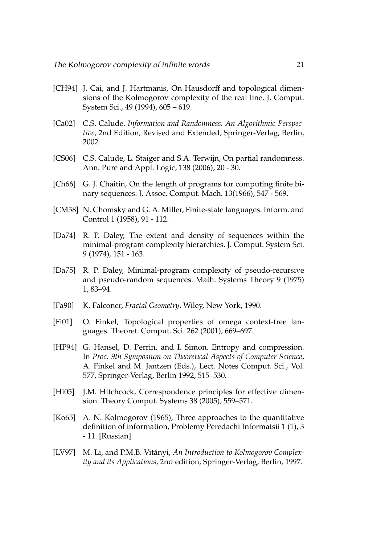- <span id="page-21-7"></span>[CH94] J. Cai, and J. Hartmanis, On Hausdorff and topological dimensions of the Kolmogorov complexity of the real line. J. Comput. System Sci., 49 (1994), 605 – 619.
- <span id="page-21-2"></span>[Ca02] C.S. Calude. *Information and Randomness. An Algorithmic Perspective*, 2nd Edition, Revised and Extended, Springer-Verlag, Berlin, 2002
- <span id="page-21-8"></span>[CS06] C.S. Calude, L. Staiger and S.A. Terwijn, On partial randomness. Ann. Pure and Appl. Logic, 138 (2006), 20 - 30.
- <span id="page-21-1"></span>[Ch66] G. J. Chaitin, On the length of programs for computing finite binary sequences. J. Assoc. Comput. Mach. 13(1966), 547 - 569.
- <span id="page-21-10"></span>[CM58] N. Chomsky and G. A. Miller, Finite-state languages. Inform. and Control 1 (1958), 91 - 112.
- <span id="page-21-5"></span>[Da74] R. P. Daley, The extent and density of sequences within the minimal-program complexity hierarchies. J. Comput. System Sci. 9 (1974), 151 - 163.
- <span id="page-21-6"></span>[Da75] R. P. Daley, Minimal-program complexity of pseudo-recursive and pseudo-random sequences. Math. Systems Theory 9 (1975) 1, 83–94.
- <span id="page-21-4"></span>[Fa90] K. Falconer, *Fractal Geometry*. Wiley, New York, 1990.
- <span id="page-21-12"></span>[Fi01] O. Finkel, Topological properties of omega context-free languages. Theoret. Comput. Sci. 262 (2001), 669–697.
- <span id="page-21-11"></span>[HP94] G. Hansel, D. Perrin, and I. Simon. Entropy and compression. In *Proc. 9th Symposium on Theoretical Aspects of Computer Science*, A. Finkel and M. Jantzen (Eds.), Lect. Notes Comput. Sci., Vol. 577, Springer-Verlag, Berlin 1992, 515–530.
- <span id="page-21-9"></span>[Hi05] J.M. Hitchcock, Correspondence principles for effective dimension. Theory Comput. Systems 38 (2005), 559–571.
- <span id="page-21-0"></span>[Ko65] A. N. Kolmogorov (1965), Three approaches to the quantitative definition of information, Problemy Peredachi Informatsii 1 (1), 3 - 11. [Russian]
- <span id="page-21-3"></span>[LV97] M. Li, and P.M.B. Vitányi, An Introduction to Kolmogorov Complex*ity and its Applications*, 2nd edition, Springer-Verlag, Berlin, 1997.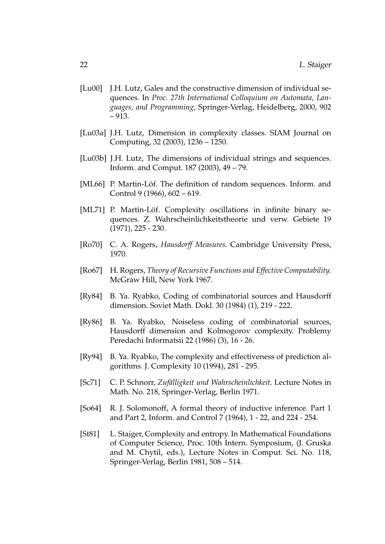- <span id="page-22-7"></span>[Lu00] J.H. Lutz, Gales and the constructive dimension of individual sequences. In *Proc. 27th International Colloquium on Automata, Languages, and Programming*, Springer-Verlag, Heidelberg, 2000, 902 – 913.
- <span id="page-22-8"></span>[Lu03a] J.H. Lutz, Dimension in complexity classes. SIAM Journal on Computing, 32 (2003), 1236 – 1250.
- <span id="page-22-9"></span>[Lu03b] J.H. Lutz, The dimensions of individual strings and sequences. Inform. and Comput. 187 (2003), 49 – 79.
- <span id="page-22-1"></span>[ML66] P. Martin-Löf. The definition of random sequences. Inform. and Control 9 (1966), 602 – 619.
- <span id="page-22-12"></span>[ML71] P. Martin-Löf. Complexity oscillations in infinite binary sequences. Z. Wahrscheinlichkeitstheorie und verw. Gebiete 19 (1971), 225 - 230.
- <span id="page-22-10"></span>[Ro70] C. A. Rogers, *Hausdorff Measures.* Cambridge University Press, 1970.
- <span id="page-22-11"></span>[Ro67] H. Rogers, *Theory of Recursive Functions and Effective Computability.* McGraw Hill, New York 1967.
- <span id="page-22-2"></span>[Ry84] B. Ya. Ryabko, Coding of combinatorial sources and Hausdorff dimension. Soviet Math. Dokl. 30 (1984) (1), 219 - 222.
- <span id="page-22-3"></span>[Ry86] B. Ya. Ryabko, Noiseless coding of combinatorial sources, Hausdorff dimension and Kolmogorov complexity. Problemy Peredachi Informatsii 22 (1986) (3), 16 - 26.
- <span id="page-22-4"></span>[Ry94] B. Ya. Ryabko, The complexity and effectiveness of prediction algorithms. J. Complexity 10 (1994), 281 - 295.
- <span id="page-22-6"></span>[Sc71] C. P. Schnorr, *Zufälligkeit und Wahrscheinlichkeit*. Lecture Notes in Math. No. 218, Springer-Verlag, Berlin 1971.
- <span id="page-22-0"></span>[So64] R. J. Solomonoff, A formal theory of inductive inference. Part 1 and Part 2, Inform. and Control 7 (1964), 1 - 22, and 224 - 254.
- <span id="page-22-5"></span>[St81] L. Staiger, Complexity and entropy. In Mathematical Foundations of Computer Science, Proc. 10th Intern. Symposium, (J. Gruska and M. Chytil, eds.), Lecture Notes in Comput. Sci. No. 118, Springer-Verlag, Berlin 1981, 508 – 514.